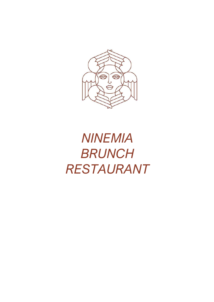

# *NINEMIA BRUNCH RESTAURANT*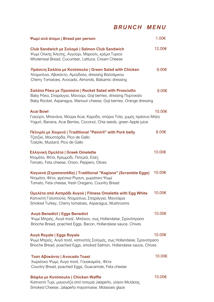# *BRUNCH MENU*

| Ψωμί ανά άτομο   Bread per person                                                                                                                                                                  | 1.00€  |
|----------------------------------------------------------------------------------------------------------------------------------------------------------------------------------------------------|--------|
| Club Sandwich με Σολομό   Salmon Club Sandwich<br>Ψωμί Ολικής Άλεσης, Αγγούρι, Μαρούλι, κρέμα Τυριού<br>Wholemeal Bread, Cucumber, Lettuce, Cream Cheese                                           | 12.00€ |
| Πράσινη Σαλάτα με Κοτόπουλο   Green Salad with Chicken<br>Ντοματίνια, Αβοκάντο, Αμύγδαλα, dressing Βαλσάμικου<br>Cherry Tomatoes, Avocado, Almonds, Balsamic dressing                              | 9.00€  |
| Σαλάτα Ρόκα με Προσούτο   Rocket Salad with Prosciutto<br>Baby Ρόκα, Σπαράγγια, Μανούρι, Goji berries, dressing Πορτοκάλι<br>Baby Rocket, Asparagus, Manouri cheese, Goji berries, Orange dressing | 9,00€  |
| <b>Acai Bowl</b><br>Γιαούρτι, Μπανάνα, Μούρα Acai, Καρύδα, σπόροι Τσία, χυμός πράσινο Μήλο<br>Yogurt, Banana, Acai Berries, Coconut, Chia seeds, green Apple juice                                 | 10.00€ |
| Πεϊνιρλί με Χοιρινό   Traditional "Peinirli" with Pork belly<br>Τζατζίκι, Μουστάρδα, Pico de Gallo<br>Tzatziki, Mustard, Pico de Gallo                                                             | 8.00€  |
| Ελληνική Ομελέτα   Greek Omelette<br>Ντομάτα, Φέτα, Κρεμμύδι, Πιπεριά, Ελιές<br>Tomato, Feta cheese, Onion, Peppers, Olives                                                                        | 10.00€ |
| Καγιανά (Στραπατσάδα)   Traditional "Kagiana" (Scramble Eggs)<br>Ντομάτα, Φέτα, φρέσκια Ρίγανη, χωριάτικο Ψωμί<br>Tomato, Feta cheese, fresh Oregano, Country Bread                                | 10.00€ |
| Ομελέτα από Ασπράδι Αυγού   Fitness Omelette with Egg White<br>Καπνιστή Γαλοπούλα, Ντοματίνια, Σπαράγγια, Μανιτάρια<br>Smoked Turkey, Cherry tomatoes, Asparagus, Mushrooms                        | 10.00€ |
| <b>Αυγά Benedict   Eggs Benedict</b><br>Ψωμί Μπριός, Αυγά ποσέ, Μπέικον, σως Hollandaise, Σχοινόπρασο<br>Brioche Bread, poached Eggs, Bacon, Hollandaise sauce, Chives                             | 10.00€ |
| <b>Αυγά Royale   Eggs Royale</b><br>Ψωμί Μπριός, Αυγά ποσέ, καπνιστός Σολομός, σως Hollandaise, Σχοινοπρασο<br>Brioche Bread, poached Eggs, smoked Salmon, Hollandaise sauce, Chives               | 10.00€ |
| Τοστ Αβοκάντο   Avocado Toast<br>Χωριάτικο Ψωμί, Αυγα ποσέ, Γουακαμόλε, Φέτα<br>Country Bread, poached Eggs, Guacamole, Feta cheese                                                                | 10.00€ |
| Βάφλα με Κοτόπουλο   Chicken Waffle<br>Καπνιστό Τυρί, μαγιονέζα από πιπεριά Jalapeño, γλάσο Μελάσας<br>Smoked Cheese, Jalapeño mayonnaise, Molasses glaze                                          | 10.00€ |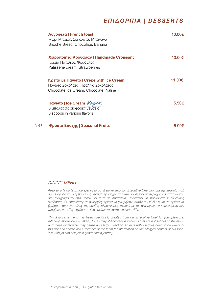# *ΕΠΙΔΟΡΠΙΑ | DESSERTS*

|      | Aυγόφετα   French toast<br>Ψωμί Μπριός, Σοκολάτα, Μπανάνα<br>Brioche Bread, Chocolate, Banana                          | 10 00€     |
|------|------------------------------------------------------------------------------------------------------------------------|------------|
|      | Χειροποίητα Κρουασάν   Handmade Croissant<br>Κρέμα Πατισερί, Φράουλες<br>Patisserie cream, Strawberries                | 10.00€     |
|      | Κρέπα με Παγωτό   Crepe with Ice Cream<br>Παγωτό Σοκολάτα, Πραλίνα Σοκολατας<br>Chocolate Ice Cream, Chocolate Praline | 11.00€     |
|      | Παγωτό   Ice Cream Καιγα.<br>3 μπάλες σε διάφορες γεύσεις<br>3 scoops in various flavors                               | $5.50 \in$ |
| V GF | Φρούτα Εποχής   Seasonal Fruits                                                                                        | 6.00€      |

### *DINING MENU*

*Αυτό το à la carte μενού έχει σχεδιαστεί ειδικά από τον Executive Chef μας για την ευχαρίστησή σας. Παρόλο που λαμβάνεται η δέουσα προσοχή, τα πιάτα ενδέχεται να περιέχουν συστατικά που δεν αναγράφονται στο μενού και αυτά τα συστατικά ενδέχεται να προκαλέσουν αλλεργική αντίδραση. Οι επισκέπτες με αλλεργίες πρέπει να γνωρίζουν αυτόν τον κίνδυνο και θα πρέπει να ζητήσουν από ένα μέλος της ομάδας πληροφορίες σχετικά με το αλλεργιογόνο περιεχόμενο των τροφίμων μας. Σας ευχόμαστε ένα ευχάριστο γαστρονομικό ταξίδι.*

*This à la carte menu has been specifically created from our Executive Chef for your pleasure. Although all due care is taken, dishes may still contain ingredients that are not set out on the menu and these ingredients may cause an allergic reaction. Guests with allergies need to be aware of this risk and should ask a member of the team for information on the allergen content of our food. We wish you an enjoyable gastronomic journey.*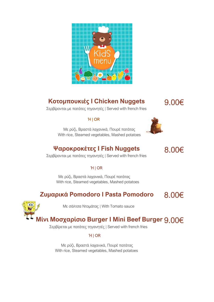

# **Κοτομπουκιές I Chicken Nuggets**

9.00€

Σερβίρονται με πατάτες τηγανητές | Served with french fries

# Ή | OR



# **Ψαροκροκέτες I Fish Nuggets**

8.00€

Σερβίρονται με πατάτες τηγανητές | Served with french fries

# Ή | OR

 Με ρύζι, Βραστά λαχανικά, Πουρέ πατάτας With rice, Steamed vegetables, Mashed potatoes

#### **Ζυμαρικά Pomodoro I Pasta Pomodoro** 8.00€



Με σάλτσα Ντομάτας | With Tomato sauce

# **Μίνι Μοσχαρίσιο Burger I Mini Beef Burger** 9.00€

Σερβίρεται με πατάτες τηγανητές | Served with french fries

# Ή | OR

 Με ρύζι, Βραστά λαχανικά, Πουρέ πατάτας With rice, Steamed vegetables, Mashed potatoes

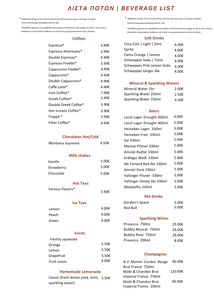# *ΛΙΣΤΑ ΠΟΤΩΝ | BEVERAGE LIST*

 $*$  Additional charge of the environmental tax 0.05 cents per piece in all types of plastic food and beverage packaging used for sale

\*Πρόσθετη χρέωση του περιβαλλοντικού φόρου 0,05 λεπτών ανά τεμάχιο σε όλους τους τύπους πλαστικών συσκευασιών τροφίμων και ποτών που χρησιμοποιούνται προς πώληση

#### **Coffees**

| Espresso*            | 3.90€ |
|----------------------|-------|
| Espresso Americano*  | 3.90€ |
| Double Espresso*     | 4.40€ |
| Espresso Freddo*     | 3.90€ |
| Cappuccino Freddo*   | 4.40€ |
| Cappuccino*          | 4.40€ |
| Double Cappuccino*   | 4.90€ |
| Caffè Latte*         | 4.40€ |
| Irish Coffee*        | 7.90€ |
| Greek Coffee*        | 3.40€ |
| Double Greek Coffee* | 3.90€ |
| Hot Instant Coffee*  | 3.90€ |
| Frappé *             | 3.90€ |
| Filter Coffee*       | 4.40€ |

#### **Chocolates Hot/Cold**

| Monbana Supreme | 4.50€ |
|-----------------|-------|
|-----------------|-------|

### **Milk shakes**

| Vanilla    | 5.00 $\epsilon$ |
|------------|-----------------|
| Strawberry | 5.00€           |
| Chocolate  | 5.00€           |

#### **Hot Teas**

| Various Flavors* | 3.90 $\epsilon$ |
|------------------|-----------------|
|                  |                 |

#### **Ice Teas**

| Lemon | 4.00€ |
|-------|-------|
| Peach | 4.00€ |
| Green | 4.00€ |

### **Juices**

| Freshly squeezed    |                 |
|---------------------|-----------------|
| Orange              | 5.50 $\epsilon$ |
| Lemon               | 5.50 $\epsilon$ |
| Grapefruit          | $5.50 \epsilon$ |
| <b>Fruit Juices</b> | 4.00€           |

### **Homemade Lemonade**

Classic (fresh lemon juice, mint,  $5.50\epsilon$ sparkling water)

 $*$  Additional charge of the environmental tax 0.05 cents per piece in all types of plastic food and beverage packaging used for sale

\*Πρόσθετη χρέωση του περιβαλλοντικού φόρου 0,05 λεπτών ανά τεμάχιο σε όλους τους τύπους πλαστικών συσκευασιών τροφίμων και ποτών που χρησιμοποιούνται προς πώληση

#### **Soft Drinks**

| Coca Cola   Light   Zero  | 4.00€ |
|---------------------------|-------|
| Sprite                    | 4.00€ |
| Fanta Orange   Lemon      | 4.00€ |
| Schweppes Soda   Tonic    | 4.00€ |
| Schweppes Pink Lemon Soda | 4.00€ |
| Schweppes Ginger Ale      | 4.00€ |

### **Mineral & Sparkling Waters**

| Mineral Water 1ltr    | 2.00€           |
|-----------------------|-----------------|
| Sparkling Water 250ml | $2.50 \epsilon$ |
| Sparkling Water 750ml | 4.50 $\epsilon$ |

#### **Beers**

| 4.00€ |
|-------|
| 5.00€ |
| 5.00€ |
| 5.00€ |
| 5.00€ |
| 5.00€ |
| 5.00€ |
| 5.00€ |
| 5.00€ |
| 5.00€ |
| 5.00€ |
| 5.00€ |
| 5.00€ |
|       |

#### **Rtd Drinks**

| Gordon's Space | 5.00€           |
|----------------|-----------------|
| Red Bull       | 5.00 $\epsilon$ |

### **Sparkling Wines**

| Prosecco 750ml             | 29.00€ |
|----------------------------|--------|
| <b>Bubbly Muscat 750ml</b> | 26.00€ |
| Bubbly Rose 750ml          | 26.00€ |
| Prosecco 200ml             | 8.00€  |

### **Champagnes**

| N.V Mumm Cordon Rouge | 90.00€  |
|-----------------------|---------|
| Brut France 750ml     |         |
| Moët & Chandon Brut   | 120.00€ |
| Imperial France 750ml |         |
| Moët & Chandon Brut   | 40.00€  |
| Imperial France 200ml |         |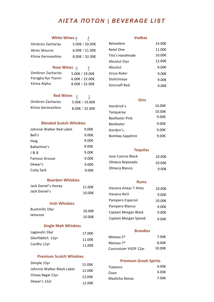# *ΛΙΣΤΑ ΠΟΤΩΝ | BEVERAGE LIST*

# **White Wines**

₫

| Omikron Zacharias  | 5.00€ / 20.00€ |
|--------------------|----------------|
| Akres Skouras      | 6.00€ / 21.00€ |
| Ktima Gerovasiliou | 8.00€ / 32.00€ |

# **Rose** Wines  $\varphi$  1

| Omikron Zacharias  | 5.00€ / 19.00€ |
|--------------------|----------------|
| Paragka Kyr Yianni | 6.00€ / 22.00€ |
| Ktima Alpha        | 8.00€ / 32.00€ |

# **Red Wines**  $\varphi$  **A**

| Omikron Zacharias  | 5.00€ / 19.00€ |
|--------------------|----------------|
| Ktima Gerovasiliou | 8.00€ / 32.00€ |

### **Blended Scotch Whiskies**

| Johnnie Walker Red Label | 9.00 $\epsilon$ |
|--------------------------|-----------------|
| Bell's                   | 9.00 $\epsilon$ |
| Haig                     | 9.00 $\epsilon$ |
| Ballantine's             | 9.00 $\epsilon$ |
| J & B                    | 9.00€           |
| <b>Famous Grouse</b>     | 9.00 $\epsilon$ |
| Dewar's                  | 9.00 $\epsilon$ |
| <b>Cutty Sark</b>        | 9.00€           |

### **Bourbon Whiskies**

| Jack Daniel's Honey | 11.00€ |
|---------------------|--------|
| Jack Daniel's       | 10.00€ |

### **Irish Whiskies**

| <b>Bushmills 10yr</b> | 10.00€ |
|-----------------------|--------|
| Jameson               | 10.00€ |

### **Single Malt Whiskies**

| Lagavulin 16yr   | 17.00€ |
|------------------|--------|
| Glenfiddich 12yr | 11.00€ |
| Cardhu 12yr      | 11.00€ |

### **Premium Scotch Whiskies**

| Dimple 15yr                | 15.00€ |
|----------------------------|--------|
| Johnnie Walker Black Label | 12.00€ |
| Chivas Regal 12yr          | 12.00€ |
| Dewar's 12yr               | 12.00€ |

### **Vodkas**

| <b>Belvedere</b> | 14.00€          |
|------------------|-----------------|
| Ketel One        | 11.00€          |
| Tito's Handmade  | 10.00€          |
| Absolut Elyx     | 12.00€          |
| Absolut          | 9.00 $\epsilon$ |
| Ursus Roter      | 9.00€           |
| Stolichnaya      | 9.00€           |
| Smirnoff Red     | 9.00€           |
|                  |                 |

### **Gins**

| 14.00€          |
|-----------------|
| 10.00€          |
| 9.00€           |
| 9.00 $\epsilon$ |
| 9.00 $\epsilon$ |
| 9.00 $\epsilon$ |
|                 |

### **Tequilas**

| Jose Cuervo Black | 10.00€          |
|-------------------|-----------------|
| Olmeca Reposado   | 10.00€          |
| Olmeca Blanco     | 9.00 $\epsilon$ |

### **Rums**

| Havana Anejo 7 Años   | 10.00€          |
|-----------------------|-----------------|
| Havana No3            | 9.00€           |
| Pampero Especial      | 10.00€          |
| Pampero Blanco        | 9.00€           |
| Captain Morgan Black  | 9.00€           |
| Captain Morgan Spiced | 9.00 $\epsilon$ |

### **Brandies**

| Metaxa 5 <sup>*</sup> | 7.00€  |
|-----------------------|--------|
| Metaxa 7*             | 8.00€  |
| Courvoisier VSOP 12yr | 10.00€ |

### **Premium Greek Spirits**

| Tsipouro        | 4.00€ |
|-----------------|-------|
| Ouzo            | 4.00€ |
| Masticha Skinos | 7.00€ |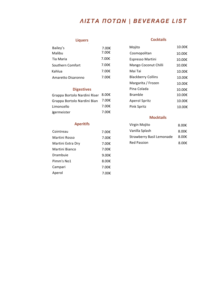# *ΛΙΣΤΑ ΠΟΤΩΝ | BEVERAGE LIST*

## **Liquers**

| 7.00€ |
|-------|
| 7.00€ |
| 7.00€ |
| 7.00€ |
| 7.00€ |
| 7.00€ |
|       |

### **Digestives**

| Grappa Bortolo Nardini Riser 8.00€ |       |
|------------------------------------|-------|
| Grappa Bortolo Nardini Bian        | 7.00€ |
| Limoncello                         | 7.00€ |
| Jgermeister                        | 7.00€ |

## **Aperitifs**

| Cointreau         | 7.00€ |
|-------------------|-------|
| Martini Rosso     | 7.00€ |
| Martini Extra Dry | 7.00€ |
| Martini Bianco    | 7.00€ |
| Drambuie          | 9.00€ |
| Pimm's No1        | 8.00€ |
| Campari           | 7.00€ |
| Aperol            | 7.00€ |

### **Cocktails**

| Mojito                    | 10.00€ |
|---------------------------|--------|
| Cosmopolitan              | 10.00€ |
| Espresso Martini          | 10.00€ |
| Mango Coconut Chilli      | 10.00€ |
| Mai Tai                   | 10.00€ |
| <b>Blackberry Collins</b> | 10.00€ |
| Margarita / Frozen        | 10.00€ |
| Pina Colada               | 10.00€ |
| Bramble                   | 10.00€ |
| <b>Aperol Spritz</b>      | 10.00€ |
| Pink Spritz               | 10.00€ |

### **Mocktails**

| Virgin Mojito             | 8.00 $\epsilon$ |
|---------------------------|-----------------|
| Vanilla Splash            | 8.00 $\epsilon$ |
| Strawberry Basil Lemonade | 8.00 $\epsilon$ |
| <b>Red Passion</b>        | $8.00 \epsilon$ |